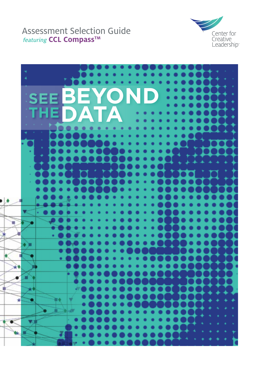### Assessment Selection Guide featuring **CCL CompassTM**



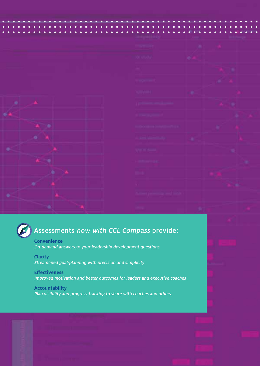

| <b>TOMPATIONS</b>                                                                                                                                                                                                                                                    |          | ٠            |
|----------------------------------------------------------------------------------------------------------------------------------------------------------------------------------------------------------------------------------------------------------------------|----------|--------------|
| ___<br>or more                                                                                                                                                                                                                                                       |          |              |
|                                                                                                                                                                                                                                                                      |          |              |
|                                                                                                                                                                                                                                                                      |          |              |
| <b>Company</b><br><u> 1980 - Johann Barnett, mars et al. 1980 - Anna ann an t-</u>                                                                                                                                                                                   |          |              |
| <u>in Marine Street England of the Street England</u>                                                                                                                                                                                                                |          |              |
| <b>Contract Contract Contract</b>                                                                                                                                                                                                                                    |          |              |
| <b>Coloradore (endertainment)</b> and                                                                                                                                                                                                                                |          |              |
| <u> Karl Barat (Barat Barat Barat Barat Barat Barat Barat Barat Barat Barat Barat Barat Barat Barat Barat Barat Barat Barat Barat Barat Barat Barat Barat Barat Barat Barat Barat Barat Barat Barat Barat Barat Barat Barat Bara</u><br>الإقترانات المنتقلة بالمنتقل | -<br>-81 |              |
| <b>British School</b>                                                                                                                                                                                                                                                |          | ۰            |
| <b>CALCULARS</b>                                                                                                                                                                                                                                                     |          |              |
|                                                                                                                                                                                                                                                                      |          |              |
|                                                                                                                                                                                                                                                                      |          |              |
| <b>Lines president and lines</b>                                                                                                                                                                                                                                     |          |              |
| ang.                                                                                                                                                                                                                                                                 |          | <b>COMPA</b> |

## Assessments now with CCL Compass provide:

**Convenience** On-demand answers to your leadership development questions

**Clarity** Streamlined goal-planning with precision and simplicity

### **Effectiveness** Improved motivation and better outcomes for leaders and executive coaches

**Accountability** Plan visibility and progress-tracking to share with coaches and others

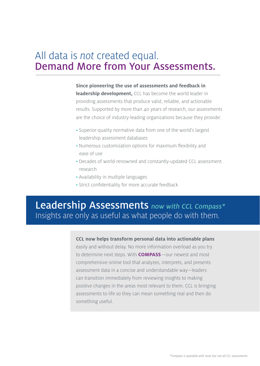## All data is not created equal. Demand More from Your Assessments.

**Since pioneering the use of assessments and feedback in leadership development,** CCL has become the world leader in providing assessments that produce valid, reliable, and actionable results. Supported by more than 40 years of research, our assessments are the choice of industry-leading organizations because they provide:

- Superior-quality normative data from one of the world's largest leadership assessment databases
- Numerous customization options for maximum flexibility and ease of use
- Decades of world-renowned and constantly-updated CCL assessment research
- Availability in multiple languages
- Strict confidentiality for more accurate feedback

## Leadership Assessments now with CCL Compass\* Insights are only as useful as what people do with them.

### **CCL now helps transform personal data into actionable plans**

easily and without delay. No more information overload as you try to determine next steps. With **COMPASS**—our newest and most comprehensive online tool that analyzes, interprets, and presents assessment data in a concise and understandable way—leaders can transition immediately from reviewing insights to making positive changes in the areas most relevant to them. CCL is bringing assessments to life so they can mean something real and then do something useful.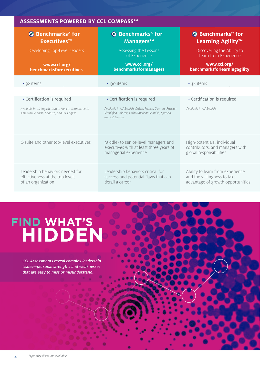### **ASSESSMENTS POWERED BY CCL COMPASS™**

| <b>6</b> Benchmarks <sup>®</sup> for<br><b>Executives™</b><br>Developing Top-Level Leaders<br>www.ccl.org/<br>benchmarksforexecutives | <b><i>S</i></b> Benchmarks <sup>®</sup> for<br>Managers™<br>Assessing the Lessons<br>of Experience<br>www.ccl.org/<br><b>benchmarksformanagers</b> | <b>3</b> Benchmarks <sup>®</sup> for<br>Learning Agility <sup>™</sup><br>Discovering the Ability to<br>Learn from Experience<br>www.ccl.org/<br>benchmarksforlearningagility |
|---------------------------------------------------------------------------------------------------------------------------------------|----------------------------------------------------------------------------------------------------------------------------------------------------|------------------------------------------------------------------------------------------------------------------------------------------------------------------------------|
| • 92 items                                                                                                                            | • 130 items                                                                                                                                        | • 48 items                                                                                                                                                                   |
|                                                                                                                                       |                                                                                                                                                    |                                                                                                                                                                              |
| • Certification is required                                                                                                           | • Certification is required                                                                                                                        | • Certification is required                                                                                                                                                  |
| Available in US English, Dutch, French, German, Latin<br>American Spanish, Spanish, and UK English.                                   | Available in US English, Dutch, French, German, Russian,<br>Simplified Chinese, Latin American Spanish, Spanish,<br>and UK English.                | Available in US English.                                                                                                                                                     |
| C-suite and other top-level executives                                                                                                | Middle- to senior-level managers and<br>executives with at least three years of<br>managerial experience                                           | High-potentials, individual<br>contributors, and managers with<br>global responsibilities                                                                                    |
| Leadership behaviors needed for<br>effectiveness at the top levels<br>of an organization                                              | Leadership behaviors critical for<br>success and potential flaws that can<br>derail a career                                                       | Ability to learn from experience<br>and the willingness to take<br>advantage of growth opportunities                                                                         |

## **FIND WHAT'S HIDDEN**

CCL Assessments reveal complex leadership issues—personal strengths and weaknesses that are easy to miss or misunderstand.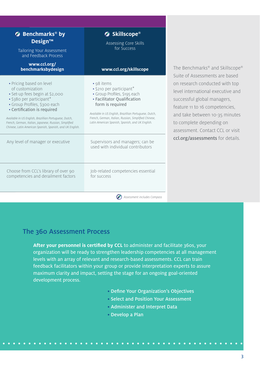| $\bullet$ Benchmarks® by<br><b>Design™</b><br>Tailoring Your Assessment<br>and Feedback Process                                                                                                                                                                                                                                                                                                 | <b>5</b> Skillscope®<br>Assessing Core Skills<br>for Success                                                                                                                                                                                                                                                                         |                                                                                                                                                                                                                                                                                                              |
|-------------------------------------------------------------------------------------------------------------------------------------------------------------------------------------------------------------------------------------------------------------------------------------------------------------------------------------------------------------------------------------------------|--------------------------------------------------------------------------------------------------------------------------------------------------------------------------------------------------------------------------------------------------------------------------------------------------------------------------------------|--------------------------------------------------------------------------------------------------------------------------------------------------------------------------------------------------------------------------------------------------------------------------------------------------------------|
| www.ccl.org/<br>benchmarksbydesign                                                                                                                                                                                                                                                                                                                                                              | www.ccl.org/skillscope                                                                                                                                                                                                                                                                                                               | The Benchmarks® and Skillscope®                                                                                                                                                                                                                                                                              |
| • Pricing based on level<br>of customization<br>· Set-up fees begin at \$2,000<br>· \$380 per participant*<br>· Group Profiles, \$300 each<br>• Certification is required<br>Available in US English, Brazillian Portuguese, Dutch,<br>French, German, Italian, Japanese, Russian, Simplified<br>Chinese, Latin American Spanish, Spanish, and UK English.<br>Any level of manager or executive | • 98 items<br>· \$210 per participant*<br>· Group Profiles, \$195 each<br>• Facilitator Qualification<br>form is required<br>Available in US English, Brazillian Portuguese, Dutch,<br>French, German, Italian, Russian, Simplified Chinese,<br>Latin American Spanish, Spanish, and UK English.<br>Supervisors and managers; can be | Suite of Assessments are based<br>on research conducted with top<br>level international executive and<br>successful global managers,<br>feature 11 to 16 competencies,<br>and take between 10-35 minutes<br>to complete depending on<br>assessment. Contact CCL or visit<br>ccl.org/assessments for details. |
| Choose from CCL's library of over 90<br>competencies and derailment factors                                                                                                                                                                                                                                                                                                                     | used with individual contributors<br>Job-related competencies essential<br>for success                                                                                                                                                                                                                                               |                                                                                                                                                                                                                                                                                                              |

Assessment includes Compass

### The 360 Assessment Process

After your personnel is certified by CCL to administer and facilitate 360s, your organization will be ready to strengthen leadership competencies at all management levels with an array of relevant and research-based assessments. CCL can train feedback facilitators within your group or provide interpretation experts to assure maximum clarity and impact, setting the stage for an ongoing goal-oriented development process.

- Define Your Organization's Objectives
- Select and Position Your Assessment
- Administer and Interpret Data
- Develop a Plan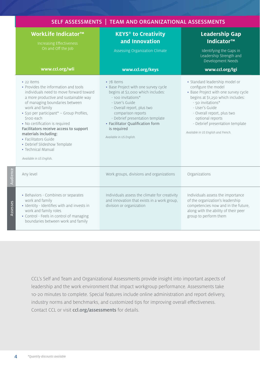| SELF ASSESSMENTS   TEAM AND ORGANIZATIONAL ASSESSMENTS                                                                                                                                                                                                                                                                                                                                                                                                               |                                                                                                                                                                                                                                                                                                       |                                                                                                                                                                                                                                                                                                       |  |
|----------------------------------------------------------------------------------------------------------------------------------------------------------------------------------------------------------------------------------------------------------------------------------------------------------------------------------------------------------------------------------------------------------------------------------------------------------------------|-------------------------------------------------------------------------------------------------------------------------------------------------------------------------------------------------------------------------------------------------------------------------------------------------------|-------------------------------------------------------------------------------------------------------------------------------------------------------------------------------------------------------------------------------------------------------------------------------------------------------|--|
| WorkLife Indicator <sup>™</sup><br>Increasing Effectiveness<br>On and Off the Job                                                                                                                                                                                                                                                                                                                                                                                    | <b>KEYS<sup>®</sup> to Creativity</b><br>and Innovation                                                                                                                                                                                                                                               | <b>Leadership Gap</b><br>Indicator <sup>™</sup>                                                                                                                                                                                                                                                       |  |
|                                                                                                                                                                                                                                                                                                                                                                                                                                                                      | Assessing Organization Climate                                                                                                                                                                                                                                                                        | Identifying the Gaps in<br>Leadership Strength and<br>Development Needs                                                                                                                                                                                                                               |  |
| www.ccl.org/wli                                                                                                                                                                                                                                                                                                                                                                                                                                                      | www.ccl.org/keys                                                                                                                                                                                                                                                                                      | www.ccl.org/lgi                                                                                                                                                                                                                                                                                       |  |
| • 22 items<br>• Provides the information and tools<br>individuals need to move forward toward<br>a more productive and sustainable way<br>of managing boundaries between<br>work and family<br>• \$30 per participant* - Group Profiles,<br>\$100 each<br>• No certification is required<br>Facilitators receive access to support<br>materials including:<br>• Facilitators Guide<br>• Debrief Slideshow Template<br>• Technical Manual<br>Available in US English. | • 78 items<br>• Base Project with one survey cycle<br>begins at \$2,000 which includes:<br>- 100 invitations*<br>- User's Guide<br>- Overall report, plus two<br>comparison reports<br>- Debrief presentation template<br>• Facilitator Qualification form<br>is required<br>Available in US English. | • Standard leadership model or<br>configure the model<br>• Base Project with one survey cycle<br>begins at \$1,250 which includes:<br>- 50 invitations*<br>- User's Guide<br>- Overall report, plus two<br>optional reports<br>- Debrief presentation template<br>Available in US English and French. |  |
| Any level                                                                                                                                                                                                                                                                                                                                                                                                                                                            | Work groups, divisions and organizations                                                                                                                                                                                                                                                              | Organizations                                                                                                                                                                                                                                                                                         |  |
| • Behaviors - Combines or separates<br>work and family<br>· Identity - Identifies with and invests in<br>work and family roles<br>• Control - Feels in control of managing<br>boundaries between work and family                                                                                                                                                                                                                                                     | Individuals assess the climate for creativity<br>and innovation that exists in a work group,<br>division or organization                                                                                                                                                                              | Individuals assess the importance<br>of the organization's leadership<br>competencies now and in the future,<br>along with the ability of their peer<br>group to perform them                                                                                                                         |  |

CCL's Self and Team and Organizational Assessments provide insight into important aspects of leadership and the work environment that impact workgroup performance. Assessments take 10-20 minutes to complete. Special features include online administration and report delivery, industry norms and benchmarks, and customized tips for improving overall effectiveness. Contact CCL or visit ccl.org/assessments for details.

**Audience** 

Assesses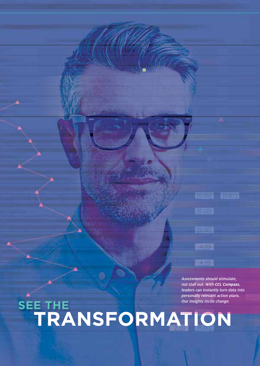**TEX UTIL TOSOZI** 4.00-

Assessments should stimulate, not stall out. With **CCL Compass**, leaders can instantly turn data into personally relevant action plans.

 $-4.00$ 

# **TRANSFORMATION SEE THE** Our insights incite change.